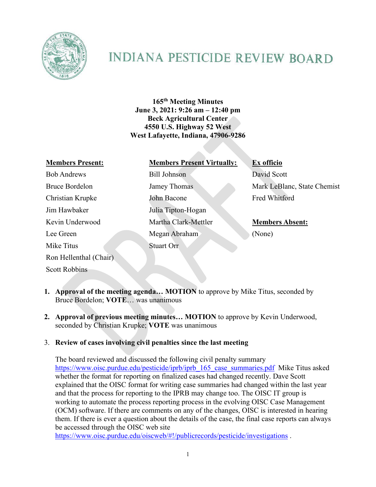

# **INDIANA PESTICIDE REVIEW BOARD**

**165th Meeting Minutes June 3, 2021: 9:26 am – 12:40 pm Beck Agricultural Center 4550 U.S. Highway 52 West West Lafayette, Indiana, 47906-9286**

| <b>Members Present:</b> |
|-------------------------|
| <b>Bob Andrews</b>      |
| Bruce Bordelon          |
| Christian Krupke        |
| <b>Iim Hawhaker</b>     |
| Kevin Underwood         |
| Lee Green               |
| Mike Titus              |
| Ron Hellenthal (Chair)  |

Scott Robbins

# **Members Present: Members Present Virtually: Ex officio**

Bill Johnson David Scott John Bacone Fred Whitford Julia Tipton-Hogan Martha Clark-Mettler **Members Absent:** Megan Abraham (None) Stuart Orr

Jamey Thomas Mark LeBlanc, State Chemist

- **1. Approval of the meeting agenda… MOTION** to approve by Mike Titus, seconded by Bruce Bordelon; **VOTE**… was unanimous
- **2. Approval of previous meeting minutes… MOTION** to approve by Kevin Underwood, seconded by Christian Krupke; **VOTE** was unanimous

## 3. **Review of cases involving civil penalties since the last meeting**

The board reviewed and discussed the following civil penalty summary https://www.oisc.purdue.edu/pesticide/iprb/iprb\_165\_case\_summaries.pdf\_Mike Titus asked whether the format for reporting on finalized cases had changed recently. Dave Scott explained that the OISC format for writing case summaries had changed within the last year and that the process for reporting to the IPRB may change too. The OISC IT group is working to automate the process reporting process in the evolving OISC Case Management (OCM) software. If there are comments on any of the changes, OISC is interested in hearing them. If there is ever a question about the details of the case, the final case reports can always be accessed through the OISC web site

<https://www.oisc.purdue.edu/oiscweb/#!/publicrecords/pesticide/investigations>.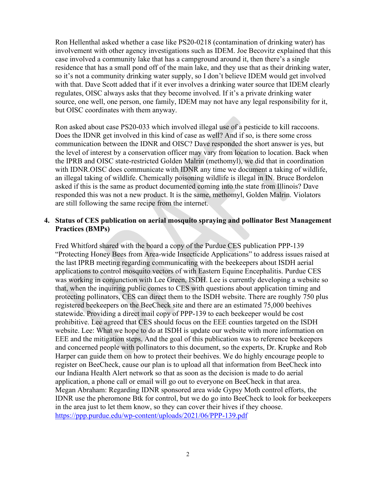Ron Hellenthal asked whether a case like PS20-0218 (contamination of drinking water) has involvement with other agency investigations such as IDEM. Joe Becovitz explained that this case involved a community lake that has a campground around it, then there's a single residence that has a small pond off of the main lake, and they use that as their drinking water, so it's not a community drinking water supply, so I don't believe IDEM would get involved with that. Dave Scott added that if it ever involves a drinking water source that IDEM clearly regulates, OISC always asks that they become involved. If it's a private drinking water source, one well, one person, one family, IDEM may not have any legal responsibility for it, but OISC coordinates with them anyway.

Ron asked about case PS20-033 which involved illegal use of a pesticide to kill raccoons. Does the IDNR get involved in this kind of case as well? And if so, is there some cross communication between the IDNR and OISC? Dave responded the short answer is yes, but the level of interest by a conservation officer may vary from location to location. Back when the IPRB and OISC state-restricted Golden Malrin (methomyl), we did that in coordination with IDNR.OISC does communicate with IDNR any time we document a taking of wildlife, an illegal taking of wildlife. Chemically poisoning wildlife is illegal in IN. Bruce Bordelon asked if this is the same as product documented coming into the state from Illinois? Dave responded this was not a new product. It is the same, methomyl, Golden Malrin. Violators are still following the same recipe from the internet.

### **4. Status of CES publication on aerial mosquito spraying and pollinator Best Management Practices (BMPs)**

Fred Whitford shared with the board a copy of the Purdue CES publication PPP-139 "Protecting Honey Bees from Area-wide Insecticide Applications" to address issues raised at the last IPRB meeting regarding communicating with the beekeepers about ISDH aerial applications to control mosquito vectors of with Eastern Equine Encephalitis. Purdue CES was working in conjunction with Lee Green, ISDH. Lee is currently developing a website so that, when the inquiring public comes to CES with questions about application timing and protecting pollinators, CES can direct them to the ISDH website. There are roughly 750 plus registered beekeepers on the BeeCheck site and there are an estimated 75,000 beehives statewide. Providing a direct mail copy of PPP-139 to each beekeeper would be cost prohibitive. Lee agreed that CES should focus on the EEE counties targeted on the ISDH website. Lee: What we hope to do at ISDH is update our website with more information on EEE and the mitigation steps. And the goal of this publication was to reference beekeepers and concerned people with pollinators to this document, so the experts, Dr. Krupke and Rob Harper can guide them on how to protect their beehives. We do highly encourage people to register on BeeCheck, cause our plan is to upload all that information from BeeCheck into our Indiana Health Alert network so that as soon as the decision is made to do aerial application, a phone call or email will go out to everyone on BeeCheck in that area. Megan Abraham: Regarding IDNR sponsored area wide Gypsy Moth control efforts, the IDNR use the pheromone Btk for control, but we do go into BeeCheck to look for beekeepers in the area just to let them know, so they can cover their hives if they choose. <https://ppp.purdue.edu/wp-content/uploads/2021/06/PPP-139.pdf>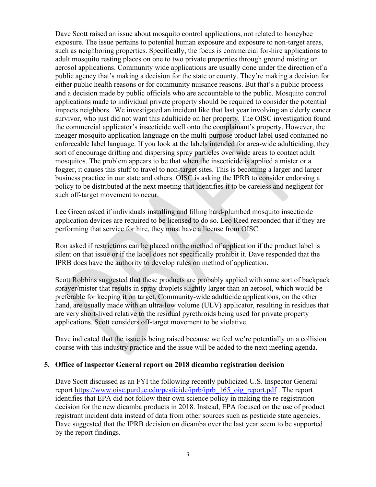Dave Scott raised an issue about mosquito control applications, not related to honeybee exposure. The issue pertains to potential human exposure and exposure to non-target areas, such as neighboring properties. Specifically, the focus is commercial for-hire applications to adult mosquito resting places on one to two private properties through ground misting or aerosol applications. Community wide applications are usually done under the direction of a public agency that's making a decision for the state or county. They're making a decision for either public health reasons or for community nuisance reasons. But that's a public process and a decision made by public officials who are accountable to the public. Mosquito control applications made to individual private property should be required to consider the potential impacts neighbors. We investigated an incident like that last year involving an elderly cancer survivor, who just did not want this adulticide on her property. The OISC investigation found the commercial applicator's insecticide well onto the complainant's property. However, the meager mosquito application language on the multi-purpose product label used contained no enforceable label language. If you look at the labels intended for area-wide adulticiding, they sort of encourage drifting and dispersing spray particles over wide areas to contact adult mosquitos. The problem appears to be that when the insecticide is applied a mister or a fogger, it causes this stuff to travel to non-target sites. This is becoming a larger and larger business practice in our state and others. OISC is asking the IPRB to consider endorsing a policy to be distributed at the next meeting that identifies it to be careless and negligent for such off-target movement to occur.

Lee Green asked if individuals installing and filling hard-plumbed mosquito insecticide application devices are required to be licensed to do so. Leo Reed responded that if they are performing that service for hire, they must have a license from OISC.

Ron asked if restrictions can be placed on the method of application if the product label is silent on that issue or if the label does not specifically prohibit it. Dave responded that the IPRB does have the authority to develop rules on method of application.

Scott Robbins suggested that these products are probably applied with some sort of backpack sprayer/mister that results in spray droplets slightly larger than an aerosol, which would be preferable for keeping it on target. Community-wide adulticide applications, on the other hand, are usually made with an ultra-low volume (ULV) applicator, resulting in residues that are very short-lived relative to the residual pyrethroids being used for private property applications. Scott considers off-target movement to be violative.

Dave indicated that the issue is being raised because we feel we're potentially on a collision course with this industry practice and the issue will be added to the next meeting agenda.

#### **5. Office of Inspector General report on 2018 dicamba registration decision**

Dave Scott discussed as an FYI the following recently publicized U.S. Inspector General report [https://www.oisc.purdue.edu/pesticide/iprb/iprb\\_165\\_oig\\_report.pdf](https://www.oisc.purdue.edu/pesticide/iprb/iprb_165_oig_report.pdf) . The report identifies that EPA did not follow their own science policy in making the re-registration decision for the new dicamba products in 2018. Instead, EPA focused on the use of product registrant incident data instead of data from other sources such as pesticide state agencies. Dave suggested that the IPRB decision on dicamba over the last year seem to be supported by the report findings.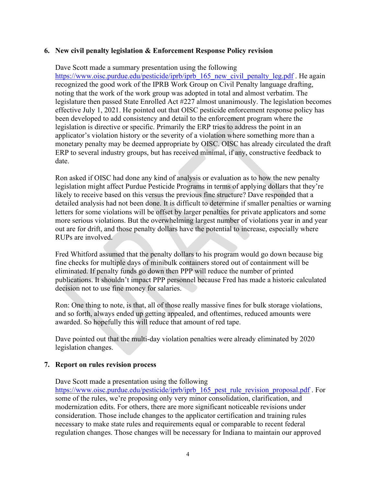### **6. New civil penalty legislation & Enforcement Response Policy revision**

Dave Scott made a summary presentation using the following

[https://www.oisc.purdue.edu/pesticide/iprb/iprb\\_165\\_new\\_civil\\_penalty\\_leg.pdf](https://www.oisc.purdue.edu/pesticide/iprb/iprb_165_new_civil_penalty_leg.pdf) . He again recognized the good work of the IPRB Work Group on Civil Penalty language drafting, noting that the work of the work group was adopted in total and almost verbatim. The legislature then passed State Enrolled Act #227 almost unanimously. The legislation becomes effective July 1, 2021. He pointed out that OISC pesticide enforcement response policy has been developed to add consistency and detail to the enforcement program where the legislation is directive or specific. Primarily the ERP tries to address the point in an applicator's violation history or the severity of a violation where something more than a monetary penalty may be deemed appropriate by OISC. OISC has already circulated the draft ERP to several industry groups, but has received minimal, if any, constructive feedback to date.

Ron asked if OISC had done any kind of analysis or evaluation as to how the new penalty legislation might affect Purdue Pesticide Programs in terms of applying dollars that they're likely to receive based on this versus the previous fine structure? Dave responded that a detailed analysis had not been done. It is difficult to determine if smaller penalties or warning letters for some violations will be offset by larger penalties for private applicators and some more serious violations. But the overwhelming largest number of violations year in and year out are for drift, and those penalty dollars have the potential to increase, especially where RUPs are involved.

Fred Whitford assumed that the penalty dollars to his program would go down because big fine checks for multiple days of minibulk containers stored out of containment will be eliminated. If penalty funds go down then PPP will reduce the number of printed publications. It shouldn't impact PPP personnel because Fred has made a historic calculated decision not to use fine money for salaries.

Ron: One thing to note, is that, all of those really massive fines for bulk storage violations, and so forth, always ended up getting appealed, and oftentimes, reduced amounts were awarded. So hopefully this will reduce that amount of red tape.

Dave pointed out that the multi-day violation penalties were already eliminated by 2020 legislation changes.

#### **7. Report on rules revision process**

Dave Scott made a presentation using the following

[https://www.oisc.purdue.edu/pesticide/iprb/iprb\\_165\\_pest\\_rule\\_revision\\_proposal.pdf](https://www.oisc.purdue.edu/pesticide/iprb/iprb_165_pest_rule_revision_proposal.pdf) . For some of the rules, we're proposing only very minor consolidation, clarification, and modernization edits. For others, there are more significant noticeable revisions under consideration. Those include changes to the applicator certification and training rules necessary to make state rules and requirements equal or comparable to recent federal regulation changes. Those changes will be necessary for Indiana to maintain our approved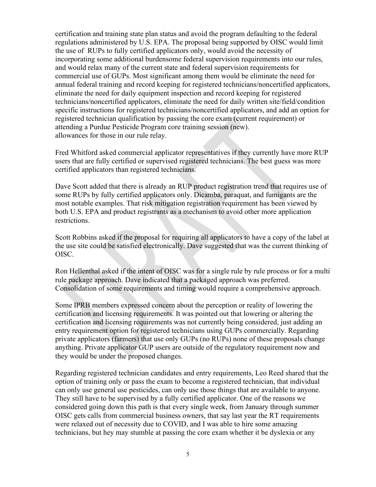certification and training state plan status and avoid the program defaulting to the federal regulations administered by U.S. EPA. The proposal being supported by OISC would limit the use of RUPs to fully certified applicators only, would avoid the necessity of incorporating some additional burdensome federal supervision requirements into our rules, and would relax many of the current state and federal supervision requirements for commercial use of GUPs. Most significant among them would be eliminate the need for annual federal training and record keeping for registered technicians/noncertified applicators, eliminate the need for daily equipment inspection and record keeping for registered technicians/noncertified applicators, eliminate the need for daily written site/field/condition specific instructions for registered technicians/noncertified applicators, and add an option for registered technician qualification by passing the core exam (current requirement) or attending a Purdue Pesticide Program core training session (new). allowances for those in our rule relay.

Fred Whitford asked commercial applicator representatives if they currently have more RUP users that are fully certified or supervised registered technicians. The best guess was more certified applicators than registered technicians.

Dave Scott added that there is already an RUP product registration trend that requires use of some RUPs by fully certified applicators only. Dicamba, paraquat, and fumigants are the most notable examples. That risk mitigation registration requirement has been viewed by both U.S. EPA and product registrants as a mechanism to avoid other more application restrictions.

Scott Robbins asked if the proposal for requiring all applicators to have a copy of the label at the use site could be satisfied electronically. Dave suggested that was the current thinking of OISC.

Ron Hellenthal asked if the intent of OISC was for a single rule by rule process or for a multi rule package approach. Dave indicated that a packaged approach was preferred. Consolidation of some requirements and timing would require a comprehensive approach.

Some IPRB members expressed concern about the perception or reality of lowering the certification and licensing requirements. It was pointed out that lowering or altering the certification and licensing requirements was not currently being considered, just adding an entry requirement option for registered technicians using GUPs commercially. Regarding private applicators (farmers) that use only GUPs (no RUPs) none of these proposals change anything. Private applicator GUP users are outside of the regulatory requirement now and they would be under the proposed changes.

Regarding registered technician candidates and entry requirements, Leo Reed shared that the option of training only or pass the exam to become a registered technician, that individual can only use general use pesticides, can only use those things that are available to anyone. They still have to be supervised by a fully certified applicator. One of the reasons we considered going down this path is that every single week, from January through summer OISC gets calls from commercial business owners, that say last year the RT requirements were relaxed out of necessity due to COVID, and I was able to hire some amazing technicians, but hey may stumble at passing the core exam whether it be dyslexia or any